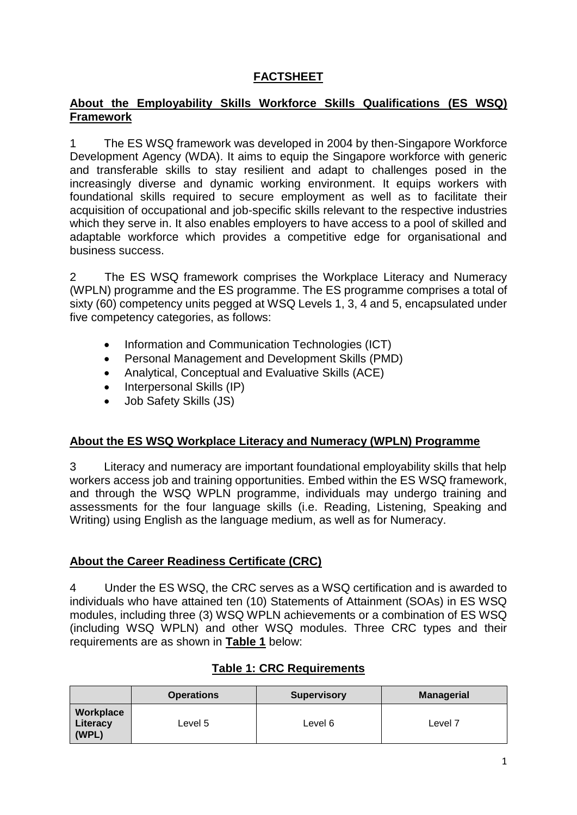## **FACTSHEET**

#### **About the Employability Skills Workforce Skills Qualifications (ES WSQ) Framework**

1 The ES WSQ framework was developed in 2004 by then-Singapore Workforce Development Agency (WDA). It aims to equip the Singapore workforce with generic and transferable skills to stay resilient and adapt to challenges posed in the increasingly diverse and dynamic working environment. It equips workers with foundational skills required to secure employment as well as to facilitate their acquisition of occupational and job-specific skills relevant to the respective industries which they serve in. It also enables employers to have access to a pool of skilled and adaptable workforce which provides a competitive edge for organisational and business success.

2 The ES WSQ framework comprises the Workplace Literacy and Numeracy (WPLN) programme and the ES programme. The ES programme comprises a total of sixty (60) competency units pegged at WSQ Levels 1, 3, 4 and 5, encapsulated under five competency categories, as follows:

- Information and Communication Technologies (ICT)
- Personal Management and Development Skills (PMD)
- Analytical, Conceptual and Evaluative Skills (ACE)
- Interpersonal Skills (IP)
- Job Safety Skills (JS)

### **About the ES WSQ Workplace Literacy and Numeracy (WPLN) Programme**

3 Literacy and numeracy are important foundational employability skills that help workers access job and training opportunities. Embed within the ES WSQ framework, and through the WSQ WPLN programme, individuals may undergo training and assessments for the four language skills (i.e. Reading, Listening, Speaking and Writing) using English as the language medium, as well as for Numeracy.

### **About the Career Readiness Certificate (CRC)**

4 Under the ES WSQ, the CRC serves as a WSQ certification and is awarded to individuals who have attained ten (10) Statements of Attainment (SOAs) in ES WSQ modules, including three (3) WSQ WPLN achievements or a combination of ES WSQ (including WSQ WPLN) and other WSQ modules. Three CRC types and their requirements are as shown in **Table 1** below:

|                                | <b>Operations</b> | <b>Supervisory</b> | <b>Managerial</b>  |
|--------------------------------|-------------------|--------------------|--------------------|
| Workplace<br>Literacy<br>(WPL) | Level 5           | Level 6            | Level <sub>7</sub> |

### **Table 1: CRC Requirements**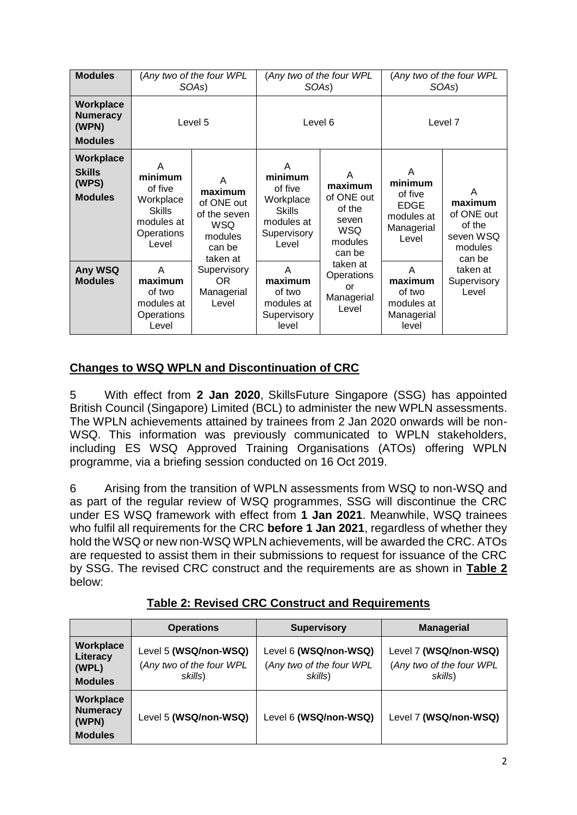| <b>Modules</b>                                          |                                                                                            | (Any two of the four WPL<br>SOAs)                                                         | (Any two of the four WPL<br>SOAs)                                                           |                                                                                  | (Any two of the four WPL<br>SOAs)                                           |                                                                        |
|---------------------------------------------------------|--------------------------------------------------------------------------------------------|-------------------------------------------------------------------------------------------|---------------------------------------------------------------------------------------------|----------------------------------------------------------------------------------|-----------------------------------------------------------------------------|------------------------------------------------------------------------|
| Workplace<br><b>Numeracy</b><br>(WPN)<br><b>Modules</b> |                                                                                            | Level 5                                                                                   | Level 6                                                                                     |                                                                                  | Level 7                                                                     |                                                                        |
| Workplace<br><b>Skills</b><br>(WPS)<br><b>Modules</b>   | A<br>minimum<br>of five<br>Workplace<br><b>Skills</b><br>modules at<br>Operations<br>Level | A<br>maximum<br>of ONE out<br>of the seven<br><b>WSQ</b><br>modules<br>can be<br>taken at | A<br>minimum<br>of five<br>Workplace<br><b>Skills</b><br>modules at<br>Supervisory<br>Level | A<br>maximum<br>of ONE out<br>of the<br>seven<br><b>WSQ</b><br>modules<br>can be | A<br>minimum<br>of five<br><b>EDGE</b><br>modules at<br>Managerial<br>Level | A<br>maximum<br>of ONE out<br>of the<br>seven WSQ<br>modules<br>can be |
| Any WSQ<br><b>Modules</b>                               | A<br>maximum<br>of two<br>modules at<br>Operations<br>Level                                | Supervisory<br>OR.<br>Managerial<br>Level                                                 | A<br>maximum<br>of two<br>modules at<br>Supervisory<br>level                                | taken at<br>Operations<br>or<br>Managerial<br>Level                              | A<br>maximum<br>of two<br>modules at<br>Managerial<br>level                 | taken at<br>Supervisory<br>Level                                       |

### **Changes to WSQ WPLN and Discontinuation of CRC**

5 With effect from **2 Jan 2020**, SkillsFuture Singapore (SSG) has appointed British Council (Singapore) Limited (BCL) to administer the new WPLN assessments. The WPLN achievements attained by trainees from 2 Jan 2020 onwards will be non-WSQ. This information was previously communicated to WPLN stakeholders, including ES WSQ Approved Training Organisations (ATOs) offering WPLN programme, via a briefing session conducted on 16 Oct 2019.

6 Arising from the transition of WPLN assessments from WSQ to non-WSQ and as part of the regular review of WSQ programmes, SSG will discontinue the CRC under ES WSQ framework with effect from **1 Jan 2021**. Meanwhile, WSQ trainees who fulfil all requirements for the CRC **before 1 Jan 2021**, regardless of whether they hold the WSQ or new non-WSQ WPLN achievements, will be awarded the CRC. ATOs are requested to assist them in their submissions to request for issuance of the CRC by SSG. The revised CRC construct and the requirements are as shown in **Table 2** below:

|                                                         | <b>Operations</b>                                            | <b>Supervisory</b>                                           | <b>Managerial</b>                                            |  |
|---------------------------------------------------------|--------------------------------------------------------------|--------------------------------------------------------------|--------------------------------------------------------------|--|
| Workplace<br>Literacy<br>(WPL)<br><b>Modules</b>        | Level 5 (WSQ/non-WSQ)<br>(Any two of the four WPL<br>skills) | Level 6 (WSQ/non-WSQ)<br>(Any two of the four WPL<br>skills) | Level 7 (WSQ/non-WSQ)<br>(Any two of the four WPL<br>skills) |  |
| Workplace<br><b>Numeracy</b><br>(WPN)<br><b>Modules</b> | Level 5 (WSQ/non-WSQ)                                        | Level 6 (WSQ/non-WSQ)                                        | Level 7 (WSQ/non-WSQ)                                        |  |

### **Table 2: Revised CRC Construct and Requirements**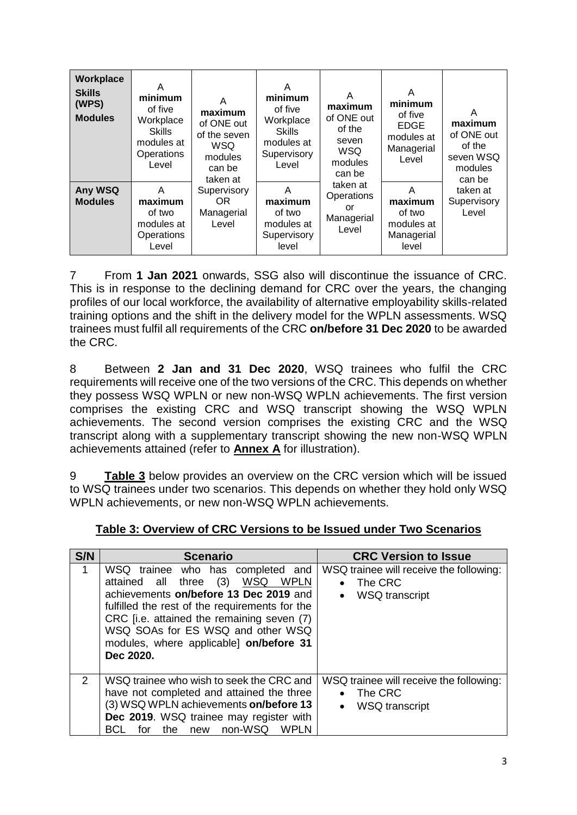| Workplace<br><b>Skills</b><br>(WPS)<br><b>Modules</b> | A<br>minimum<br>of five<br>Workplace<br><b>Skills</b><br>modules at<br>Operations<br>Level | A<br>maximum<br>of ONE out<br>of the seven<br>WSQ<br>modules<br>can be<br>taken at | A<br>minimum<br>of five<br>Workplace<br><b>Skills</b><br>modules at<br>Supervisory<br>Level | A<br>maximum<br>of ONE out<br>of the<br>seven<br><b>WSQ</b><br>modules<br>can be | A<br>minimum<br>of five<br><b>EDGE</b><br>modules at<br>Managerial<br>Level | A<br>maximum<br>of ONE out<br>of the<br>seven WSQ<br>modules<br>can be |
|-------------------------------------------------------|--------------------------------------------------------------------------------------------|------------------------------------------------------------------------------------|---------------------------------------------------------------------------------------------|----------------------------------------------------------------------------------|-----------------------------------------------------------------------------|------------------------------------------------------------------------|
| Any WSQ<br><b>Modules</b>                             | A<br>maximum<br>of two<br>modules at<br>Operations<br>Level                                | Supervisory<br>OR.<br>Managerial<br>Level                                          | A<br>maximum<br>of two<br>modules at<br>Supervisory<br>level                                | taken at<br>Operations<br>or<br>Managerial<br>Level                              | A<br>maximum<br>of two<br>modules at<br>Managerial<br>level                 | taken at<br>Supervisory<br>Level                                       |

7 From **1 Jan 2021** onwards, SSG also will discontinue the issuance of CRC. This is in response to the declining demand for CRC over the years, the changing profiles of our local workforce, the availability of alternative employability skills-related training options and the shift in the delivery model for the WPLN assessments. WSQ trainees must fulfil all requirements of the CRC **on/before 31 Dec 2020** to be awarded the CRC.

8 Between **2 Jan and 31 Dec 2020**, WSQ trainees who fulfil the CRC requirements will receive one of the two versions of the CRC. This depends on whether they possess WSQ WPLN or new non-WSQ WPLN achievements. The first version comprises the existing CRC and WSQ transcript showing the WSQ WPLN achievements. The second version comprises the existing CRC and the WSQ transcript along with a supplementary transcript showing the new non-WSQ WPLN achievements attained (refer to **Annex A** for illustration).

9 **Table 3** below provides an overview on the CRC version which will be issued to WSQ trainees under two scenarios. This depends on whether they hold only WSQ WPLN achievements, or new non-WSQ WPLN achievements.

| S/N            | <b>Scenario</b>                                                                                                                                                                                                                                                                                                                     | <b>CRC Version to Issue</b>                                                                           |
|----------------|-------------------------------------------------------------------------------------------------------------------------------------------------------------------------------------------------------------------------------------------------------------------------------------------------------------------------------------|-------------------------------------------------------------------------------------------------------|
| 1              | WSQ trainee who has completed<br>and<br>(3)<br>WSQ<br><b>WPLN</b><br>all<br>three<br>attained<br>achievements on/before 13 Dec 2019 and<br>fulfilled the rest of the requirements for the<br>CRC [i.e. attained the remaining seven (7)<br>WSQ SOAs for ES WSQ and other WSQ<br>modules, where applicable on/before 31<br>Dec 2020. | WSQ trainee will receive the following:<br>The CRC<br>$\bullet$<br><b>WSQ</b> transcript<br>$\bullet$ |
| $\overline{2}$ | WSQ trainee who wish to seek the CRC and<br>have not completed and attained the three<br>(3) WSQ WPLN achievements on/before 13<br>Dec 2019. WSQ trainee may register with<br>non-WSQ<br>the<br><b>WPLN</b><br>for<br>BCL<br>new                                                                                                    | WSQ trainee will receive the following:<br>The CRC<br>$\bullet$<br><b>WSQ</b> transcript<br>$\bullet$ |

### **Table 3: Overview of CRC Versions to be Issued under Two Scenarios**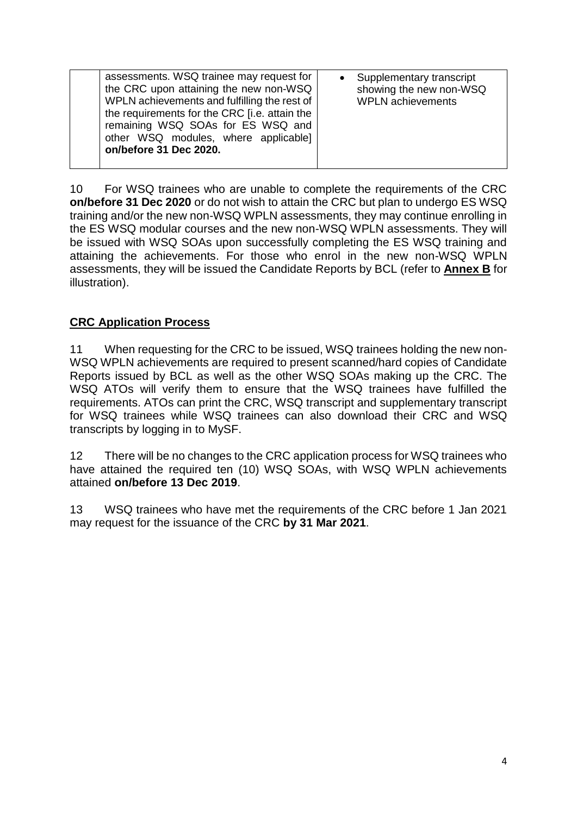10 For WSQ trainees who are unable to complete the requirements of the CRC **on/before 31 Dec 2020** or do not wish to attain the CRC but plan to undergo ES WSQ training and/or the new non-WSQ WPLN assessments, they may continue enrolling in the ES WSQ modular courses and the new non-WSQ WPLN assessments. They will be issued with WSQ SOAs upon successfully completing the ES WSQ training and attaining the achievements. For those who enrol in the new non-WSQ WPLN assessments, they will be issued the Candidate Reports by BCL (refer to **Annex B** for illustration).

### **CRC Application Process**

11 When requesting for the CRC to be issued, WSQ trainees holding the new non-WSQ WPLN achievements are required to present scanned/hard copies of Candidate Reports issued by BCL as well as the other WSQ SOAs making up the CRC. The WSQ ATOs will verify them to ensure that the WSQ trainees have fulfilled the requirements. ATOs can print the CRC, WSQ transcript and supplementary transcript for WSQ trainees while WSQ trainees can also download their CRC and WSQ transcripts by logging in to MySF.

12 There will be no changes to the CRC application process for WSQ trainees who have attained the required ten (10) WSQ SOAs, with WSQ WPLN achievements attained **on/before 13 Dec 2019**.

13 WSQ trainees who have met the requirements of the CRC before 1 Jan 2021 may request for the issuance of the CRC **by 31 Mar 2021**.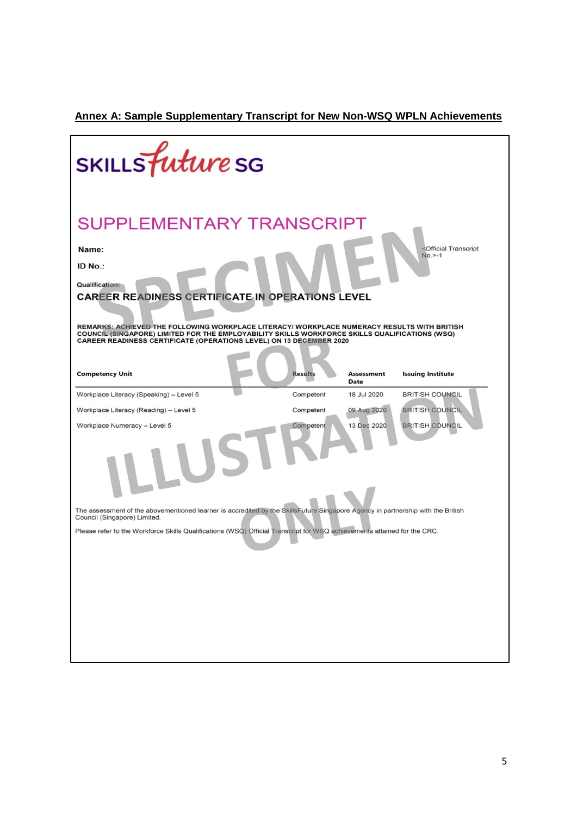# **Annex A: Sample Supplementary Transcript for New Non-WSQ WPLN Achievements**

| SKILLS <i>future</i> SG                                                                                                                                                                                                                                                                                                                                                                                                |                |                                  |                                                                |
|------------------------------------------------------------------------------------------------------------------------------------------------------------------------------------------------------------------------------------------------------------------------------------------------------------------------------------------------------------------------------------------------------------------------|----------------|----------------------------------|----------------------------------------------------------------|
| <b>SUPPLEMENTARY TRANSCRIPT</b><br>Name:<br>ID No.:<br><b>Qualification:</b><br><b>CAREER READINESS CERTIFICATE IN OPERATIONS LEVEL</b><br>REMARKS: ACHIEVED THE FOLLOWING WORKPLACE LITERACY/ WORKPLACE NUMERACY RESULTS WITH BRITISH<br>COUNCIL (SINGAPORE) LIMITED FOR THE EMPLOYABILITY SKILLS WORKFORCE SKILLS QUALIFICATIONS (WSQ)<br><b>CAREER READINESS CERTIFICATE (OPERATIONS LEVEL) ON 13 DECEMBER 2020</b> |                |                                  | <official transcript<br=""><math>No. &gt; -1</math></official> |
| <b>Competency Unit</b>                                                                                                                                                                                                                                                                                                                                                                                                 | <b>Results</b> | <b>Assessment</b><br><b>Date</b> | <b>Issuing Institute</b>                                       |
| Workplace Literacy (Speaking) - Level 5                                                                                                                                                                                                                                                                                                                                                                                | Competent      | 18 Jul 2020                      | <b>BRITISH COUNCIL</b>                                         |
| Workplace Literacy (Reading) - Level 5                                                                                                                                                                                                                                                                                                                                                                                 | Competent      | 09 Aug 2020                      | <b>BRITISH COUNCIL</b>                                         |
| Workplace Numeracy - Level 5                                                                                                                                                                                                                                                                                                                                                                                           | Competent      | 13 Dec 2020                      | <b>BRITISH COUNCIL</b>                                         |
| The assessment of the abovementioned learner is accredited by the SkillsFuture Singapore Agency in partnership with the British<br>Council (Singapore) Limited.                                                                                                                                                                                                                                                        |                |                                  |                                                                |
| Please refer to the Workforce Skills Qualifications (WSQ) Official Transcript for WSQ achievements attained for the CRC.                                                                                                                                                                                                                                                                                               |                |                                  |                                                                |
|                                                                                                                                                                                                                                                                                                                                                                                                                        |                |                                  |                                                                |